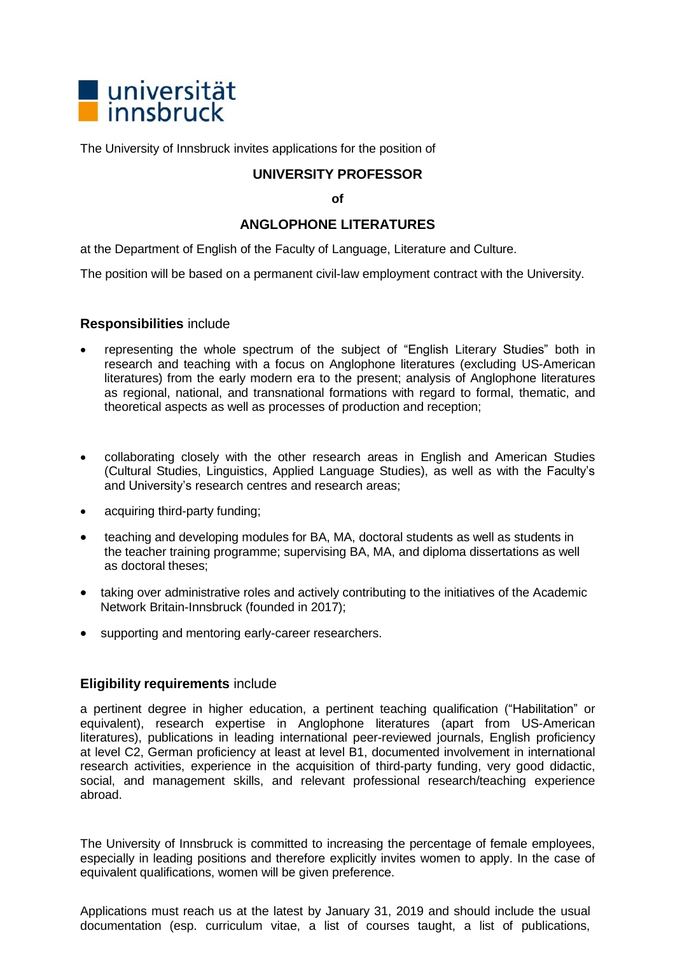

The University of Innsbruck invites applications for the position of

## **UNIVERSITY PROFESSOR**

**of**

## **ANGLOPHONE LITERATURES**

at the Department of English of the Faculty of Language, Literature and Culture.

The position will be based on a permanent civil-law employment contract with the University.

## **Responsibilities** include

- representing the whole spectrum of the subject of "English Literary Studies" both in research and teaching with a focus on Anglophone literatures (excluding US-American literatures) from the early modern era to the present; analysis of Anglophone literatures as regional, national, and transnational formations with regard to formal, thematic, and theoretical aspects as well as processes of production and reception;
- collaborating closely with the other research areas in English and American Studies (Cultural Studies, Linguistics, Applied Language Studies), as well as with the Faculty's and University's research centres and research areas;
- acquiring third-party funding;
- teaching and developing modules for BA, MA, doctoral students as well as students in the teacher training programme; supervising BA, MA, and diploma dissertations as well as doctoral theses;
- taking over administrative roles and actively contributing to the initiatives of the Academic Network Britain-Innsbruck (founded in 2017);
- supporting and mentoring early-career researchers.

## **Eligibility requirements** include

a pertinent degree in higher education, a pertinent teaching qualification ("Habilitation" or equivalent), research expertise in Anglophone literatures (apart from US-American literatures), publications in leading international peer-reviewed journals, English proficiency at level C2, German proficiency at least at level B1, documented involvement in international research activities, experience in the acquisition of third-party funding, very good didactic, social, and management skills, and relevant professional research/teaching experience abroad.

The University of Innsbruck is committed to increasing the percentage of female employees, especially in leading positions and therefore explicitly invites women to apply. In the case of equivalent qualifications, women will be given preference.

Applications must reach us at the latest by January 31, 2019 and should include the usual documentation (esp. curriculum vitae, a list of courses taught, a list of publications,